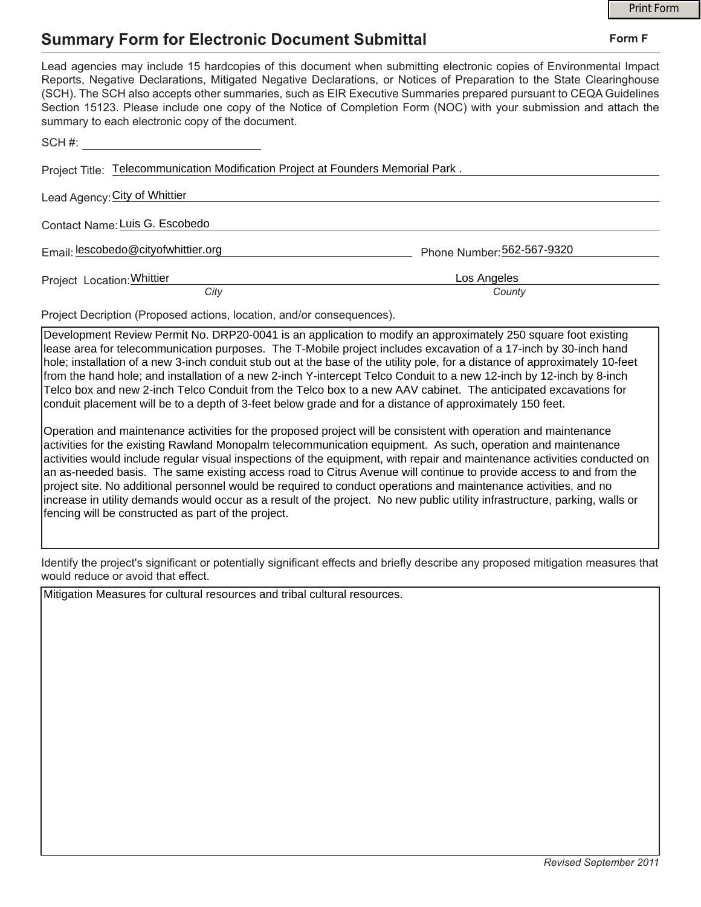## **Summary Form for Electronic Document Submittal**

|                                                                                                                                                                                                                                                                                                                                                                                                                                                                                                                                           |                            | <b>Print Form</b> |  |
|-------------------------------------------------------------------------------------------------------------------------------------------------------------------------------------------------------------------------------------------------------------------------------------------------------------------------------------------------------------------------------------------------------------------------------------------------------------------------------------------------------------------------------------------|----------------------------|-------------------|--|
| <b>Summary Form for Electronic Document Submittal</b>                                                                                                                                                                                                                                                                                                                                                                                                                                                                                     | Form F                     |                   |  |
| Lead agencies may include 15 hardcopies of this document when submitting electronic copies of Environmental Impact<br>Reports, Negative Declarations, Mitigated Negative Declarations, or Notices of Preparation to the State Clearinghouse<br>(SCH). The SCH also accepts other summaries, such as EIR Executive Summaries prepared pursuant to CEQA Guidelines<br>Section 15123. Please include one copy of the Notice of Completion Form (NOC) with your submission and attach the<br>summary to each electronic copy of the document. |                            |                   |  |
| SCH#:                                                                                                                                                                                                                                                                                                                                                                                                                                                                                                                                     |                            |                   |  |
| Project Title: Telecommunication Modification Project at Founders Memorial Park.                                                                                                                                                                                                                                                                                                                                                                                                                                                          |                            |                   |  |
| Lead Agency: City of Whittier                                                                                                                                                                                                                                                                                                                                                                                                                                                                                                             |                            |                   |  |
| Contact Name: Luis G. Escobedo                                                                                                                                                                                                                                                                                                                                                                                                                                                                                                            |                            |                   |  |
| Email: lescobedo@cityofwhittier.org                                                                                                                                                                                                                                                                                                                                                                                                                                                                                                       | Phone Number: 562-567-9320 |                   |  |
| Project Location: Whittier                                                                                                                                                                                                                                                                                                                                                                                                                                                                                                                | Los Angeles                |                   |  |
| City                                                                                                                                                                                                                                                                                                                                                                                                                                                                                                                                      | County                     |                   |  |
|                                                                                                                                                                                                                                                                                                                                                                                                                                                                                                                                           |                            |                   |  |

Project Decription (Proposed actions, location, and/or consequences).

Development Review Permit No. DRP20-0041 is an application to modify an approximately 250 square foot existing lease area for telecommunication purposes. The T-Mobile project includes excavation of a 17-inch by 30-inch hand hole; installation of a new 3-inch conduit stub out at the base of the utility pole, for a distance of approximately 10-feet from the hand hole; and installation of a new 2-inch Y-intercept Telco Conduit to a new 12-inch by 12-inch by 8-inch Telco box and new 2-inch Telco Conduit from the Telco box to a new AAV cabinet. The anticipated excavations for conduit placement will be to a depth of 3-feet below grade and for a distance of approximately 150 feet.

Operation and maintenance activities for the proposed project will be consistent with operation and maintenance activities for the existing Rawland Monopalm telecommunication equipment. As such, operation and maintenance activities would include regular visual inspections of the equipment, with repair and maintenance activities conducted on an as-needed basis. The same existing access road to Citrus Avenue will continue to provide access to and from the project site. No additional personnel would be required to conduct operations and maintenance activities, and no increase in utility demands would occur as a result of the project. No new public utility infrastructure, parking, walls or fencing will be constructed as part of the project.

Identify the project's significant or potentially significant effects and briefly describe any proposed mitigation measures that would reduce or avoid that effect.

Mitigation Measures for cultural resources and tribal cultural resources.